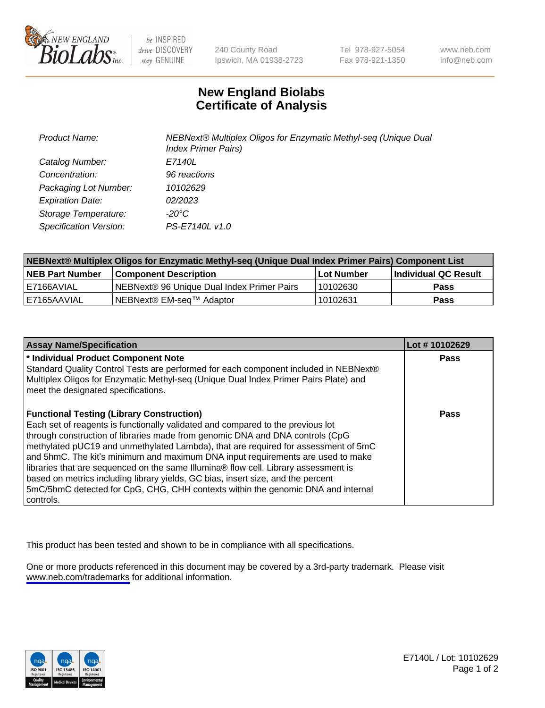

be INSPIRED drive DISCOVERY stay GENUINE

240 County Road Ipswich, MA 01938-2723 Tel 978-927-5054 Fax 978-921-1350

www.neb.com info@neb.com

## **New England Biolabs Certificate of Analysis**

| Product Name:           | NEBNext® Multiplex Oligos for Enzymatic Methyl-seq (Unique Dual<br><b>Index Primer Pairs)</b> |
|-------------------------|-----------------------------------------------------------------------------------------------|
| Catalog Number:         | E7140L                                                                                        |
| Concentration:          | 96 reactions                                                                                  |
| Packaging Lot Number:   | 10102629                                                                                      |
| <b>Expiration Date:</b> | 02/2023                                                                                       |
| Storage Temperature:    | -20°C                                                                                         |
| Specification Version:  | PS-E7140L v1.0                                                                                |

| NEBNext® Multiplex Oligos for Enzymatic Methyl-seq (Unique Dual Index Primer Pairs) Component List |                                                   |            |                      |  |
|----------------------------------------------------------------------------------------------------|---------------------------------------------------|------------|----------------------|--|
| <b>NEB Part Number</b>                                                                             | <b>Component Description</b>                      | Lot Number | Individual QC Result |  |
| I E7166AVIAL                                                                                       | <b>NEBNext® 96 Unique Dual Index Primer Pairs</b> | 10102630   | Pass                 |  |
| I E7165AAVIAL                                                                                      | NEBNext® EM-seq™ Adaptor                          | 10102631   | <b>Pass</b>          |  |

| <b>Assay Name/Specification</b>                                                                                                                                                                                                                                                                                                                                                                                                                                                                                                                                                                                                                                             | Lot #10102629 |
|-----------------------------------------------------------------------------------------------------------------------------------------------------------------------------------------------------------------------------------------------------------------------------------------------------------------------------------------------------------------------------------------------------------------------------------------------------------------------------------------------------------------------------------------------------------------------------------------------------------------------------------------------------------------------------|---------------|
| * Individual Product Component Note<br>Standard Quality Control Tests are performed for each component included in NEBNext®<br>Multiplex Oligos for Enzymatic Methyl-seq (Unique Dual Index Primer Pairs Plate) and<br>meet the designated specifications.                                                                                                                                                                                                                                                                                                                                                                                                                  | Pass          |
| <b>Functional Testing (Library Construction)</b><br>Each set of reagents is functionally validated and compared to the previous lot<br>through construction of libraries made from genomic DNA and DNA controls (CpG<br>methylated pUC19 and unmethylated Lambda), that are required for assessment of 5mC<br>and 5hmC. The kit's minimum and maximum DNA input requirements are used to make<br>libraries that are sequenced on the same Illumina® flow cell. Library assessment is<br>based on metrics including library yields, GC bias, insert size, and the percent<br>5mC/5hmC detected for CpG, CHG, CHH contexts within the genomic DNA and internal<br>l controls. | Pass          |

This product has been tested and shown to be in compliance with all specifications.

One or more products referenced in this document may be covered by a 3rd-party trademark. Please visit <www.neb.com/trademarks>for additional information.